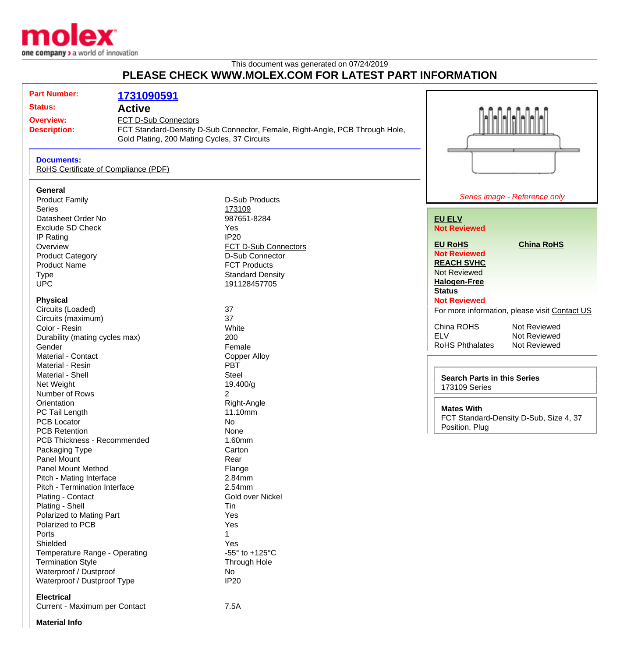

## This document was generated on 07/24/2019 **PLEASE CHECK WWW.MOLEX.COM FOR LATEST PART INFORMATION**

| <b>Part Number:</b>                                                             | 1731090591                                                           |                                                                              |                                                                                                    |  |
|---------------------------------------------------------------------------------|----------------------------------------------------------------------|------------------------------------------------------------------------------|----------------------------------------------------------------------------------------------------|--|
| <b>Status:</b><br><b>Active</b>                                                 |                                                                      |                                                                              |                                                                                                    |  |
| <b>Overview:</b><br><b>Description:</b>                                         | FCT D-Sub Connectors<br>Gold Plating, 200 Mating Cycles, 37 Circuits | FCT Standard-Density D-Sub Connector, Female, Right-Angle, PCB Through Hole, |                                                                                                    |  |
| <b>Documents:</b><br>RoHS Certificate of Compliance (PDF)                       |                                                                      |                                                                              |                                                                                                    |  |
| General<br><b>Product Family</b>                                                |                                                                      | <b>D-Sub Products</b>                                                        | Series image - Reference only                                                                      |  |
| <b>Series</b><br>Datasheet Order No<br><b>Exclude SD Check</b>                  |                                                                      | 173109<br>987651-8284<br>Yes                                                 | <b>EU ELV</b><br><b>Not Reviewed</b>                                                               |  |
| <b>IP Rating</b><br>Overview<br><b>Product Category</b>                         |                                                                      | <b>IP20</b><br>FCT D-Sub Connectors<br>D-Sub Connector                       | <b>EU RoHS</b><br><b>China RoHS</b><br><b>Not Reviewed</b>                                         |  |
| <b>Product Name</b><br><b>Type</b><br><b>UPC</b>                                |                                                                      | <b>FCT Products</b><br><b>Standard Density</b><br>191128457705               | <b>REACH SVHC</b><br><b>Not Reviewed</b><br><b>Halogen-Free</b><br><b>Status</b>                   |  |
| <b>Physical</b><br>Circuits (Loaded)                                            |                                                                      | 37                                                                           | <b>Not Reviewed</b><br>For more information, please visit Contact US                               |  |
| Circuits (maximum)<br>Color - Resin<br>Durability (mating cycles max)<br>Gender |                                                                      | 37<br>White<br>200<br>Female                                                 | China ROHS<br>Not Reviewed<br><b>ELV</b><br>Not Reviewed<br><b>RoHS Phthalates</b><br>Not Reviewed |  |
| Material - Contact<br>Material - Resin<br>Material - Shell                      |                                                                      | <b>Copper Alloy</b><br><b>PBT</b><br><b>Steel</b>                            | <b>Search Parts in this Series</b>                                                                 |  |
| Net Weight<br>Number of Rows<br>Orientation                                     |                                                                      | 19.400/g<br>2<br>Right-Angle                                                 | 173109 Series                                                                                      |  |
| PC Tail Length<br>PCB Locator<br><b>PCB Retention</b>                           |                                                                      | 11.10mm<br>No<br>None                                                        | <b>Mates With</b><br>FCT Standard-Density D-Sub, Size 4, 37<br>Position, Plug                      |  |
| PCB Thickness - Recommended<br>Packaging Type<br>Panel Mount                    |                                                                      | 1.60mm<br>Carton<br>Rear                                                     |                                                                                                    |  |
| Panel Mount Method<br>Pitch - Mating Interface<br>Pitch - Termination Interface |                                                                      | Flange<br>2.84mm<br>2.54mm                                                   |                                                                                                    |  |
| Plating - Contact<br>Plating - Shell<br>Polarized to Mating Part                |                                                                      | Gold over Nickel<br>Tin<br>Yes                                               |                                                                                                    |  |
| Polarized to PCB<br>Ports<br>Shielded                                           |                                                                      | Yes<br>Yes                                                                   |                                                                                                    |  |
| Temperature Range - Operating<br><b>Termination Style</b>                       |                                                                      | -55 $\degree$ to +125 $\degree$ C<br>Through Hole<br>No                      |                                                                                                    |  |
| Waterproof / Dustproof<br>Waterproof / Dustproof Type                           |                                                                      | <b>IP20</b>                                                                  |                                                                                                    |  |
| <b>Electrical</b><br>Current - Maximum per Contact                              |                                                                      | 7.5A                                                                         |                                                                                                    |  |